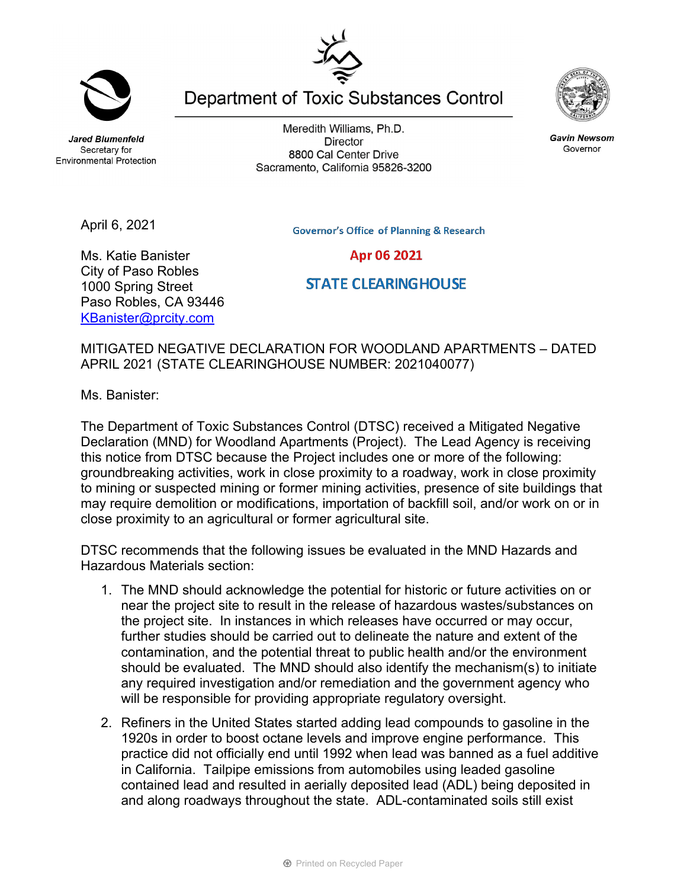**Jared Blumenfeld** Secretary for **Environmental Protection** 

April 6, 2021

Meredith Williams, Ph.D. **Director** 8800 Cal Center Drive Sacramento, California 95826-3200

Department of Toxic Substances Control

**Governor's Office of Planning & Research** Apr 06 2021

Ms. Katie Banister City of Paso Robles 1000 Spring Street Paso Robles, CA 93446 KBanister@prcity.com

**STATE CLEARING HOUSE** 

MITIGATED NEGATIVE DECLARATION FOR WOODLAND APARTMENTS – DATED APRIL 2021 (STATE CLEARINGHOUSE NUMBER: 2021040077)

Ms. Banister:

The Department of Toxic Substances Control (DTSC) received a Mitigated Negative Declaration (MND) for Woodland Apartments (Project). The Lead Agency is receiving this notice from DTSC because the Project includes one or more of the following: groundbreaking activities, work in close proximity to a roadway, work in close proximity to mining or suspected mining or former mining activities, presence of site buildings that may require demolition or modifications, importation of backfill soil, and/or work on or in close proximity to an agricultural or former agricultural site.

DTSC recommends that the following issues be evaluated in the MND Hazards and Hazardous Materials section:

- 1. The MND should acknowledge the potential for historic or future activities on or near the project site to result in the release of hazardous wastes/substances on the project site. In instances in which releases have occurred or may occur, further studies should be carried out to delineate the nature and extent of the contamination, and the potential threat to public health and/or the environment should be evaluated. The MND should also identify the mechanism(s) to initiate any required investigation and/or remediation and the government agency who will be responsible for providing appropriate regulatory oversight.
- 2. Refiners in the United States started adding lead compounds to gasoline in the 1920s in order to boost octane levels and improve engine performance. This practice did not officially end until 1992 when lead was banned as a fuel additive in California. Tailpipe emissions from automobiles using leaded gasoline contained lead and resulted in aerially deposited lead (ADL) being deposited in and along roadways throughout the state. ADL-contaminated soils still exist

**Gavin Newsom** Governor



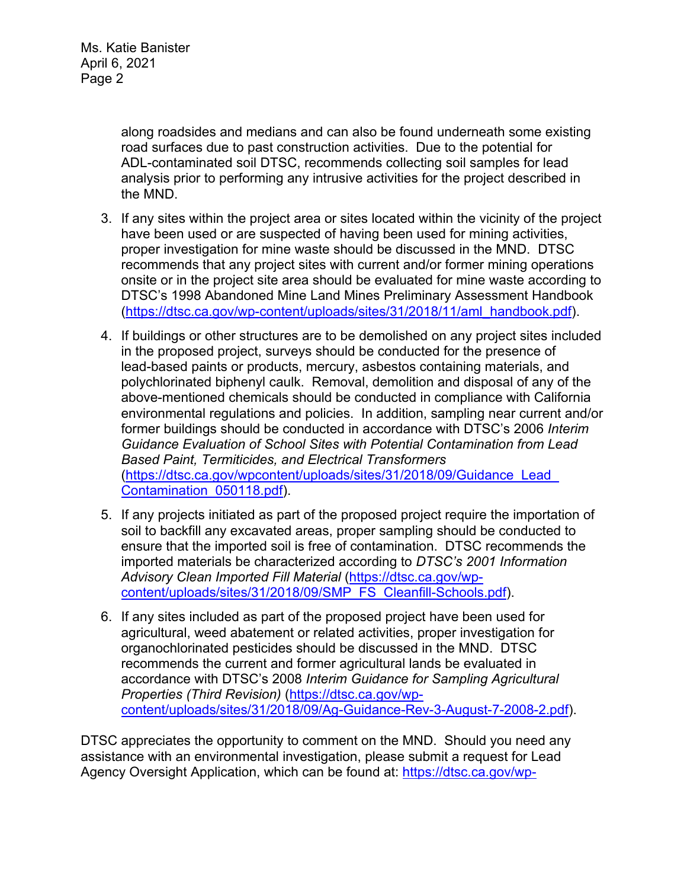Ms. Katie Banister April 6, 2021 Page 2

> along roadsides and medians and can also be found underneath some existing road surfaces due to past construction activities. Due to the potential for ADL-contaminated soil DTSC, recommends collecting soil samples for lead analysis prior to performing any intrusive activities for the project described in the MND.

- 3. If any sites within the project area or sites located within the vicinity of the project have been used or are suspected of having been used for mining activities, proper investigation for mine waste should be discussed in the MND. DTSC recommends that any project sites with current and/or former mining operations onsite or in the project site area should be evaluated for mine waste according to DTSC's 1998 Abandoned Mine Land Mines Preliminary Assessment Handbook (https://dtsc.ca.gov/wp-content/uploads/sites/31/2018/11/aml\_handbook.pdf).
- 4. If buildings or other structures are to be demolished on any project sites included in the proposed project, surveys should be conducted for the presence of lead-based paints or products, mercury, asbestos containing materials, and polychlorinated biphenyl caulk. Removal, demolition and disposal of any of the above-mentioned chemicals should be conducted in compliance with California environmental regulations and policies. In addition, sampling near current and/or former buildings should be conducted in accordance with DTSC's 2006 *Interim Guidance Evaluation of School Sites with Potential Contamination from Lead Based Paint, Termiticides, and Electrical Transformers*  (https://dtsc.ca.gov/wpcontent/uploads/sites/31/2018/09/Guidance\_Lead\_ Contamination\_050118.pdf).
- 5. If any projects initiated as part of the proposed project require the importation of soil to backfill any excavated areas, proper sampling should be conducted to ensure that the imported soil is free of contamination. DTSC recommends the imported materials be characterized according to *DTSC's 2001 Information Advisory Clean Imported Fill Material* (https://dtsc.ca.gov/wpcontent/uploads/sites/31/2018/09/SMP\_FS\_Cleanfill-Schools.pdf).
- 6. If any sites included as part of the proposed project have been used for agricultural, weed abatement or related activities, proper investigation for organochlorinated pesticides should be discussed in the MND. DTSC recommends the current and former agricultural lands be evaluated in accordance with DTSC's 2008 *Interim Guidance for Sampling Agricultural Properties (Third Revision)* (https://dtsc.ca.gov/wpcontent/uploads/sites/31/2018/09/Ag-Guidance-Rev-3-August-7-2008-2.pdf).

DTSC appreciates the opportunity to comment on the MND. Should you need any assistance with an environmental investigation, please submit a request for Lead Agency Oversight Application, which can be found at: https://dtsc.ca.gov/wp